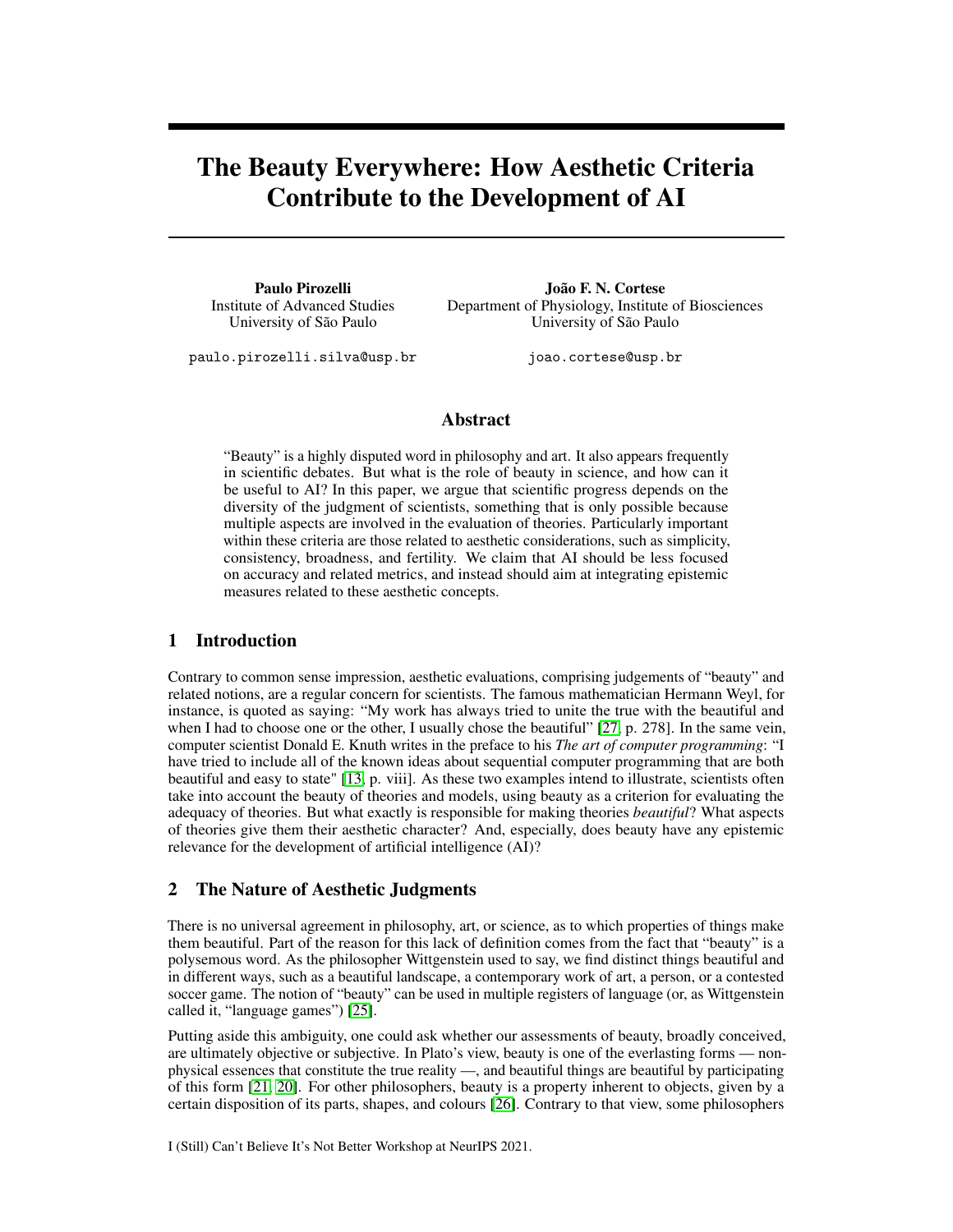# The Beauty Everywhere: How Aesthetic Criteria Contribute to the Development of AI

Paulo Pirozelli Institute of Advanced Studies University of São Paulo

João F. N. Cortese Department of Physiology, Institute of Biosciences University of São Paulo

paulo.pirozelli.silva@usp.br

joao.cortese@usp.br

#### Abstract

"Beauty" is a highly disputed word in philosophy and art. It also appears frequently in scientific debates. But what is the role of beauty in science, and how can it be useful to AI? In this paper, we argue that scientific progress depends on the diversity of the judgment of scientists, something that is only possible because multiple aspects are involved in the evaluation of theories. Particularly important within these criteria are those related to aesthetic considerations, such as simplicity, consistency, broadness, and fertility. We claim that AI should be less focused on accuracy and related metrics, and instead should aim at integrating epistemic measures related to these aesthetic concepts.

## 1 Introduction

Contrary to common sense impression, aesthetic evaluations, comprising judgements of "beauty" and related notions, are a regular concern for scientists. The famous mathematician Hermann Weyl, for instance, is quoted as saying: "My work has always tried to unite the true with the beautiful and when I had to choose one or the other, I usually chose the beautiful" [\[27,](#page-5-0) p. 278]. In the same vein, computer scientist Donald E. Knuth writes in the preface to his *The art of computer programming*: "I have tried to include all of the known ideas about sequential computer programming that are both beautiful and easy to state" [\[13,](#page-5-1) p. viii]. As these two examples intend to illustrate, scientists often take into account the beauty of theories and models, using beauty as a criterion for evaluating the adequacy of theories. But what exactly is responsible for making theories *beautiful*? What aspects of theories give them their aesthetic character? And, especially, does beauty have any epistemic relevance for the development of artificial intelligence (AI)?

## 2 The Nature of Aesthetic Judgments

There is no universal agreement in philosophy, art, or science, as to which properties of things make them beautiful. Part of the reason for this lack of definition comes from the fact that "beauty" is a polysemous word. As the philosopher Wittgenstein used to say, we find distinct things beautiful and in different ways, such as a beautiful landscape, a contemporary work of art, a person, or a contested soccer game. The notion of "beauty" can be used in multiple registers of language (or, as Wittgenstein called it, "language games") [\[25\]](#page-5-2).

Putting aside this ambiguity, one could ask whether our assessments of beauty, broadly conceived, are ultimately objective or subjective. In Plato's view, beauty is one of the everlasting forms — nonphysical essences that constitute the true reality —, and beautiful things are beautiful by participating of this form [\[21,](#page-5-3) [20\]](#page-5-4). For other philosophers, beauty is a property inherent to objects, given by a certain disposition of its parts, shapes, and colours [\[26\]](#page-5-5). Contrary to that view, some philosophers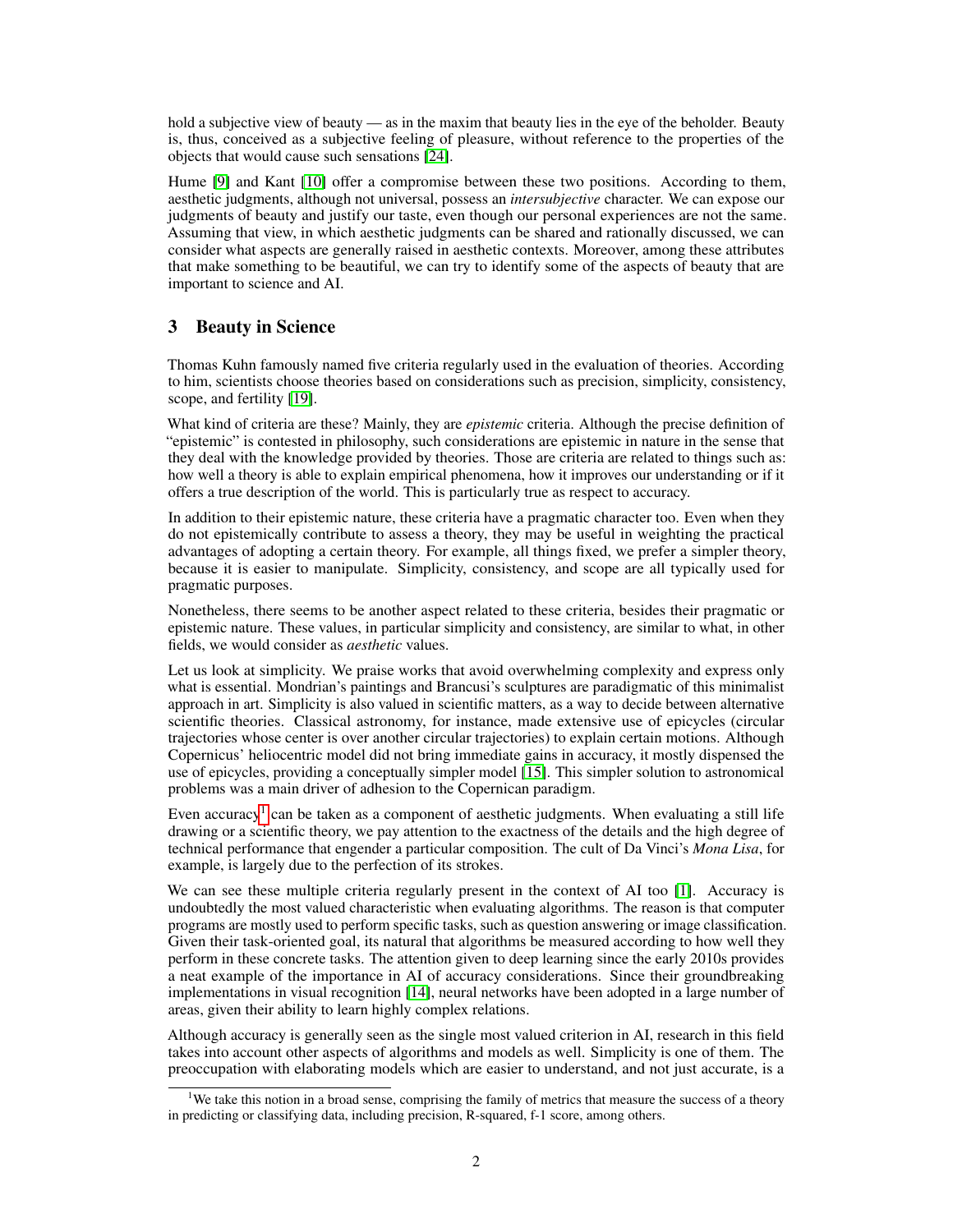hold a subjective view of beauty — as in the maxim that beauty lies in the eye of the beholder. Beauty is, thus, conceived as a subjective feeling of pleasure, without reference to the properties of the objects that would cause such sensations [\[24\]](#page-5-6).

Hume [\[9\]](#page-5-7) and Kant [\[10\]](#page-5-8) offer a compromise between these two positions. According to them, aesthetic judgments, although not universal, possess an *intersubjective* character. We can expose our judgments of beauty and justify our taste, even though our personal experiences are not the same. Assuming that view, in which aesthetic judgments can be shared and rationally discussed, we can consider what aspects are generally raised in aesthetic contexts. Moreover, among these attributes that make something to be beautiful, we can try to identify some of the aspects of beauty that are important to science and AI.

## 3 Beauty in Science

Thomas Kuhn famously named five criteria regularly used in the evaluation of theories. According to him, scientists choose theories based on considerations such as precision, simplicity, consistency, scope, and fertility [\[19\]](#page-5-9).

What kind of criteria are these? Mainly, they are *epistemic* criteria. Although the precise definition of "epistemic" is contested in philosophy, such considerations are epistemic in nature in the sense that they deal with the knowledge provided by theories. Those are criteria are related to things such as: how well a theory is able to explain empirical phenomena, how it improves our understanding or if it offers a true description of the world. This is particularly true as respect to accuracy.

In addition to their epistemic nature, these criteria have a pragmatic character too. Even when they do not epistemically contribute to assess a theory, they may be useful in weighting the practical advantages of adopting a certain theory. For example, all things fixed, we prefer a simpler theory, because it is easier to manipulate. Simplicity, consistency, and scope are all typically used for pragmatic purposes.

Nonetheless, there seems to be another aspect related to these criteria, besides their pragmatic or epistemic nature. These values, in particular simplicity and consistency, are similar to what, in other fields, we would consider as *aesthetic* values.

Let us look at simplicity. We praise works that avoid overwhelming complexity and express only what is essential. Mondrian's paintings and Brancusi's sculptures are paradigmatic of this minimalist approach in art. Simplicity is also valued in scientific matters, as a way to decide between alternative scientific theories. Classical astronomy, for instance, made extensive use of epicycles (circular trajectories whose center is over another circular trajectories) to explain certain motions. Although Copernicus' heliocentric model did not bring immediate gains in accuracy, it mostly dispensed the use of epicycles, providing a conceptually simpler model [\[15\]](#page-5-10). This simpler solution to astronomical problems was a main driver of adhesion to the Copernican paradigm.

Even accuracy<sup>[1](#page-1-0)</sup> can be taken as a component of aesthetic judgments. When evaluating a still life drawing or a scientific theory, we pay attention to the exactness of the details and the high degree of technical performance that engender a particular composition. The cult of Da Vinci's *Mona Lisa*, for example, is largely due to the perfection of its strokes.

We can see these multiple criteria regularly present in the context of AI too [\[1\]](#page-4-0). Accuracy is undoubtedly the most valued characteristic when evaluating algorithms. The reason is that computer programs are mostly used to perform specific tasks, such as question answering or image classification. Given their task-oriented goal, its natural that algorithms be measured according to how well they perform in these concrete tasks. The attention given to deep learning since the early 2010s provides a neat example of the importance in AI of accuracy considerations. Since their groundbreaking implementations in visual recognition [\[14\]](#page-5-11), neural networks have been adopted in a large number of areas, given their ability to learn highly complex relations.

Although accuracy is generally seen as the single most valued criterion in AI, research in this field takes into account other aspects of algorithms and models as well. Simplicity is one of them. The preoccupation with elaborating models which are easier to understand, and not just accurate, is a

<span id="page-1-0"></span><sup>&</sup>lt;sup>1</sup>We take this notion in a broad sense, comprising the family of metrics that measure the success of a theory in predicting or classifying data, including precision, R-squared, f-1 score, among others.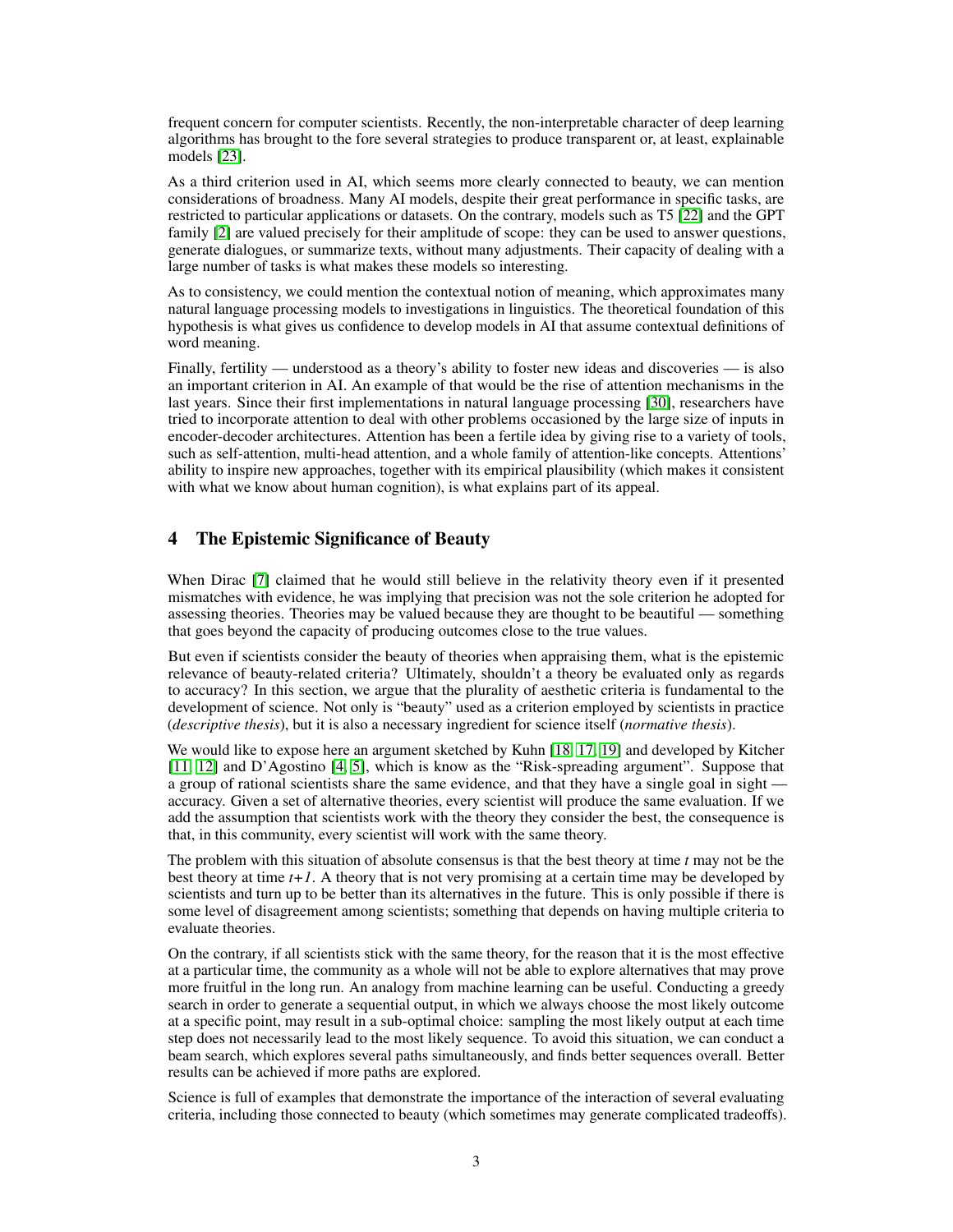frequent concern for computer scientists. Recently, the non-interpretable character of deep learning algorithms has brought to the fore several strategies to produce transparent or, at least, explainable models [\[23\]](#page-5-12).

As a third criterion used in AI, which seems more clearly connected to beauty, we can mention considerations of broadness. Many AI models, despite their great performance in specific tasks, are restricted to particular applications or datasets. On the contrary, models such as T5 [\[22\]](#page-5-13) and the GPT family [\[2\]](#page-4-1) are valued precisely for their amplitude of scope: they can be used to answer questions, generate dialogues, or summarize texts, without many adjustments. Their capacity of dealing with a large number of tasks is what makes these models so interesting.

As to consistency, we could mention the contextual notion of meaning, which approximates many natural language processing models to investigations in linguistics. The theoretical foundation of this hypothesis is what gives us confidence to develop models in AI that assume contextual definitions of word meaning.

Finally, fertility — understood as a theory's ability to foster new ideas and discoveries — is also an important criterion in AI. An example of that would be the rise of attention mechanisms in the last years. Since their first implementations in natural language processing [\[30\]](#page-5-14), researchers have tried to incorporate attention to deal with other problems occasioned by the large size of inputs in encoder-decoder architectures. Attention has been a fertile idea by giving rise to a variety of tools, such as self-attention, multi-head attention, and a whole family of attention-like concepts. Attentions' ability to inspire new approaches, together with its empirical plausibility (which makes it consistent with what we know about human cognition), is what explains part of its appeal.

# 4 The Epistemic Significance of Beauty

When Dirac [\[7\]](#page-5-15) claimed that he would still believe in the relativity theory even if it presented mismatches with evidence, he was implying that precision was not the sole criterion he adopted for assessing theories. Theories may be valued because they are thought to be beautiful — something that goes beyond the capacity of producing outcomes close to the true values.

But even if scientists consider the beauty of theories when appraising them, what is the epistemic relevance of beauty-related criteria? Ultimately, shouldn't a theory be evaluated only as regards to accuracy? In this section, we argue that the plurality of aesthetic criteria is fundamental to the development of science. Not only is "beauty" used as a criterion employed by scientists in practice (*descriptive thesis*), but it is also a necessary ingredient for science itself (*normative thesis*).

We would like to expose here an argument sketched by Kuhn [\[18,](#page-5-16) [17,](#page-5-17) [19\]](#page-5-9) and developed by Kitcher [\[11,](#page-5-18) [12\]](#page-5-19) and D'Agostino [\[4,](#page-4-2) [5\]](#page-4-3), which is know as the "Risk-spreading argument". Suppose that a group of rational scientists share the same evidence, and that they have a single goal in sight accuracy. Given a set of alternative theories, every scientist will produce the same evaluation. If we add the assumption that scientists work with the theory they consider the best, the consequence is that, in this community, every scientist will work with the same theory.

The problem with this situation of absolute consensus is that the best theory at time *t* may not be the best theory at time *t+1*. A theory that is not very promising at a certain time may be developed by scientists and turn up to be better than its alternatives in the future. This is only possible if there is some level of disagreement among scientists; something that depends on having multiple criteria to evaluate theories.

On the contrary, if all scientists stick with the same theory, for the reason that it is the most effective at a particular time, the community as a whole will not be able to explore alternatives that may prove more fruitful in the long run. An analogy from machine learning can be useful. Conducting a greedy search in order to generate a sequential output, in which we always choose the most likely outcome at a specific point, may result in a sub-optimal choice: sampling the most likely output at each time step does not necessarily lead to the most likely sequence. To avoid this situation, we can conduct a beam search, which explores several paths simultaneously, and finds better sequences overall. Better results can be achieved if more paths are explored.

Science is full of examples that demonstrate the importance of the interaction of several evaluating criteria, including those connected to beauty (which sometimes may generate complicated tradeoffs).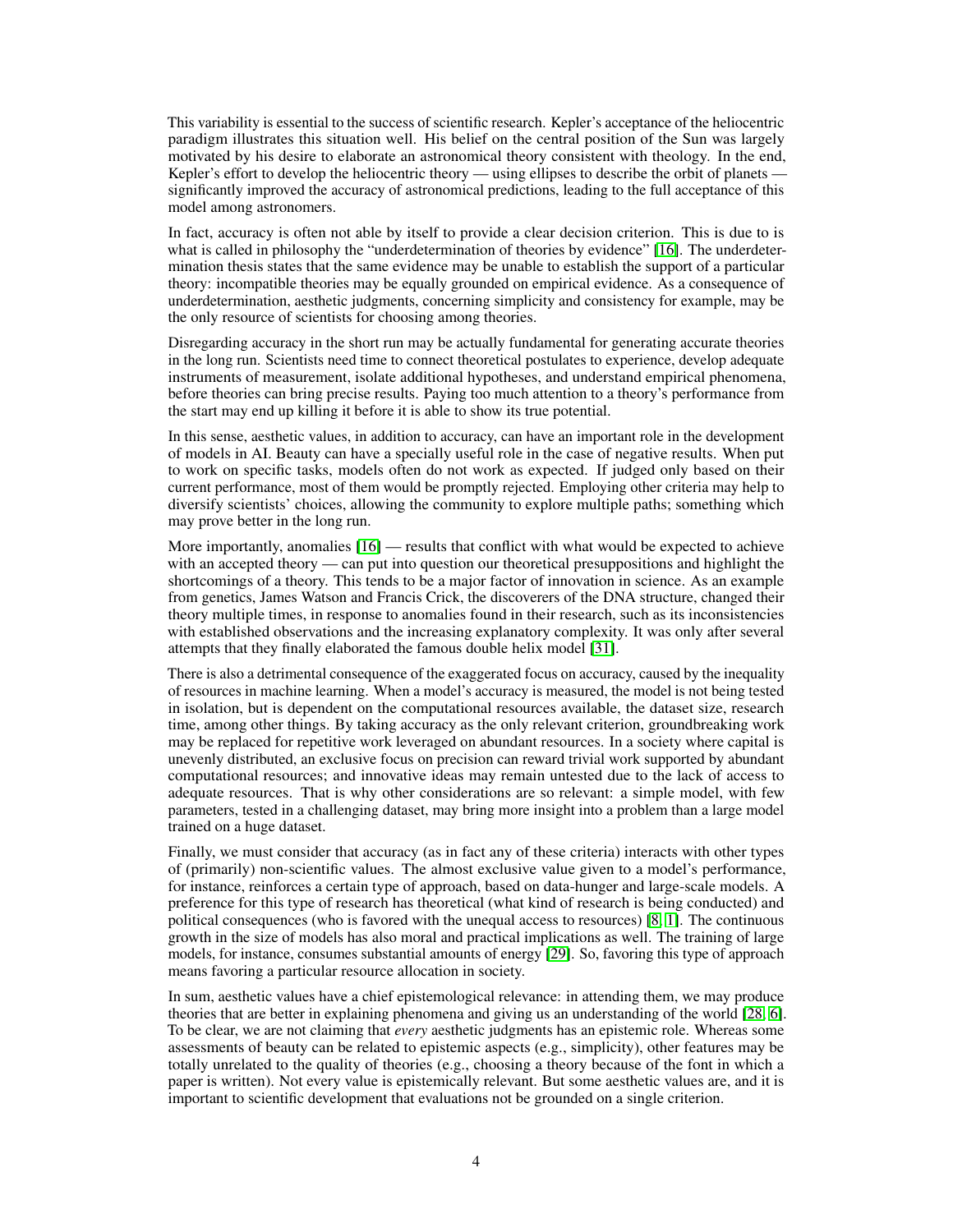This variability is essential to the success of scientific research. Kepler's acceptance of the heliocentric paradigm illustrates this situation well. His belief on the central position of the Sun was largely motivated by his desire to elaborate an astronomical theory consistent with theology. In the end, Kepler's effort to develop the heliocentric theory — using ellipses to describe the orbit of planets significantly improved the accuracy of astronomical predictions, leading to the full acceptance of this model among astronomers.

In fact, accuracy is often not able by itself to provide a clear decision criterion. This is due to is what is called in philosophy the "underdetermination of theories by evidence" [\[16\]](#page-5-20). The underdetermination thesis states that the same evidence may be unable to establish the support of a particular theory: incompatible theories may be equally grounded on empirical evidence. As a consequence of underdetermination, aesthetic judgments, concerning simplicity and consistency for example, may be the only resource of scientists for choosing among theories.

Disregarding accuracy in the short run may be actually fundamental for generating accurate theories in the long run. Scientists need time to connect theoretical postulates to experience, develop adequate instruments of measurement, isolate additional hypotheses, and understand empirical phenomena, before theories can bring precise results. Paying too much attention to a theory's performance from the start may end up killing it before it is able to show its true potential.

In this sense, aesthetic values, in addition to accuracy, can have an important role in the development of models in AI. Beauty can have a specially useful role in the case of negative results. When put to work on specific tasks, models often do not work as expected. If judged only based on their current performance, most of them would be promptly rejected. Employing other criteria may help to diversify scientists' choices, allowing the community to explore multiple paths; something which may prove better in the long run.

More importantly, anomalies [\[16\]](#page-5-20) — results that conflict with what would be expected to achieve with an accepted theory — can put into question our theoretical presuppositions and highlight the shortcomings of a theory. This tends to be a major factor of innovation in science. As an example from genetics, James Watson and Francis Crick, the discoverers of the DNA structure, changed their theory multiple times, in response to anomalies found in their research, such as its inconsistencies with established observations and the increasing explanatory complexity. It was only after several attempts that they finally elaborated the famous double helix model [\[31\]](#page-5-21).

There is also a detrimental consequence of the exaggerated focus on accuracy, caused by the inequality of resources in machine learning. When a model's accuracy is measured, the model is not being tested in isolation, but is dependent on the computational resources available, the dataset size, research time, among other things. By taking accuracy as the only relevant criterion, groundbreaking work may be replaced for repetitive work leveraged on abundant resources. In a society where capital is unevenly distributed, an exclusive focus on precision can reward trivial work supported by abundant computational resources; and innovative ideas may remain untested due to the lack of access to adequate resources. That is why other considerations are so relevant: a simple model, with few parameters, tested in a challenging dataset, may bring more insight into a problem than a large model trained on a huge dataset.

Finally, we must consider that accuracy (as in fact any of these criteria) interacts with other types of (primarily) non-scientific values. The almost exclusive value given to a model's performance, for instance, reinforces a certain type of approach, based on data-hunger and large-scale models. A preference for this type of research has theoretical (what kind of research is being conducted) and political consequences (who is favored with the unequal access to resources) [\[8,](#page-5-22) [1\]](#page-4-0). The continuous growth in the size of models has also moral and practical implications as well. The training of large models, for instance, consumes substantial amounts of energy [\[29\]](#page-5-23). So, favoring this type of approach means favoring a particular resource allocation in society.

In sum, aesthetic values have a chief epistemological relevance: in attending them, we may produce theories that are better in explaining phenomena and giving us an understanding of the world [\[28,](#page-5-24) [6\]](#page-5-25). To be clear, we are not claiming that *every* aesthetic judgments has an epistemic role. Whereas some assessments of beauty can be related to epistemic aspects (e.g., simplicity), other features may be totally unrelated to the quality of theories (e.g., choosing a theory because of the font in which a paper is written). Not every value is epistemically relevant. But some aesthetic values are, and it is important to scientific development that evaluations not be grounded on a single criterion.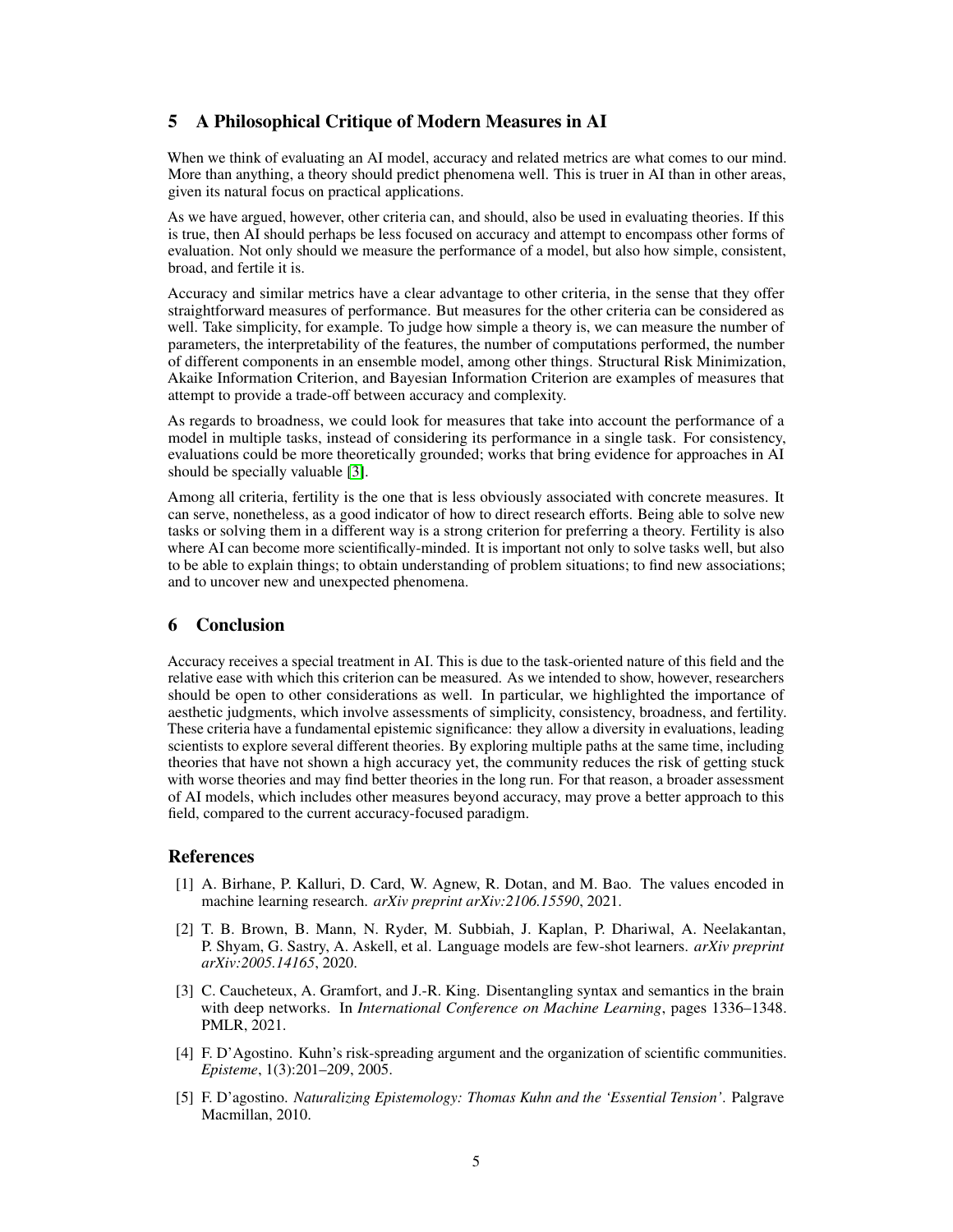# 5 A Philosophical Critique of Modern Measures in AI

When we think of evaluating an AI model, accuracy and related metrics are what comes to our mind. More than anything, a theory should predict phenomena well. This is truer in AI than in other areas, given its natural focus on practical applications.

As we have argued, however, other criteria can, and should, also be used in evaluating theories. If this is true, then AI should perhaps be less focused on accuracy and attempt to encompass other forms of evaluation. Not only should we measure the performance of a model, but also how simple, consistent, broad, and fertile it is.

Accuracy and similar metrics have a clear advantage to other criteria, in the sense that they offer straightforward measures of performance. But measures for the other criteria can be considered as well. Take simplicity, for example. To judge how simple a theory is, we can measure the number of parameters, the interpretability of the features, the number of computations performed, the number of different components in an ensemble model, among other things. Structural Risk Minimization, Akaike Information Criterion, and Bayesian Information Criterion are examples of measures that attempt to provide a trade-off between accuracy and complexity.

As regards to broadness, we could look for measures that take into account the performance of a model in multiple tasks, instead of considering its performance in a single task. For consistency, evaluations could be more theoretically grounded; works that bring evidence for approaches in AI should be specially valuable [\[3\]](#page-4-4).

Among all criteria, fertility is the one that is less obviously associated with concrete measures. It can serve, nonetheless, as a good indicator of how to direct research efforts. Being able to solve new tasks or solving them in a different way is a strong criterion for preferring a theory. Fertility is also where AI can become more scientifically-minded. It is important not only to solve tasks well, but also to be able to explain things; to obtain understanding of problem situations; to find new associations; and to uncover new and unexpected phenomena.

# 6 Conclusion

Accuracy receives a special treatment in AI. This is due to the task-oriented nature of this field and the relative ease with which this criterion can be measured. As we intended to show, however, researchers should be open to other considerations as well. In particular, we highlighted the importance of aesthetic judgments, which involve assessments of simplicity, consistency, broadness, and fertility. These criteria have a fundamental epistemic significance: they allow a diversity in evaluations, leading scientists to explore several different theories. By exploring multiple paths at the same time, including theories that have not shown a high accuracy yet, the community reduces the risk of getting stuck with worse theories and may find better theories in the long run. For that reason, a broader assessment of AI models, which includes other measures beyond accuracy, may prove a better approach to this field, compared to the current accuracy-focused paradigm.

## References

- <span id="page-4-0"></span>[1] A. Birhane, P. Kalluri, D. Card, W. Agnew, R. Dotan, and M. Bao. The values encoded in machine learning research. *arXiv preprint arXiv:2106.15590*, 2021.
- <span id="page-4-1"></span>[2] T. B. Brown, B. Mann, N. Ryder, M. Subbiah, J. Kaplan, P. Dhariwal, A. Neelakantan, P. Shyam, G. Sastry, A. Askell, et al. Language models are few-shot learners. *arXiv preprint arXiv:2005.14165*, 2020.
- <span id="page-4-4"></span>[3] C. Caucheteux, A. Gramfort, and J.-R. King. Disentangling syntax and semantics in the brain with deep networks. In *International Conference on Machine Learning*, pages 1336–1348. PMLR, 2021.
- <span id="page-4-2"></span>[4] F. D'Agostino. Kuhn's risk-spreading argument and the organization of scientific communities. *Episteme*, 1(3):201–209, 2005.
- <span id="page-4-3"></span>[5] F. D'agostino. *Naturalizing Epistemology: Thomas Kuhn and the 'Essential Tension'*. Palgrave Macmillan, 2010.